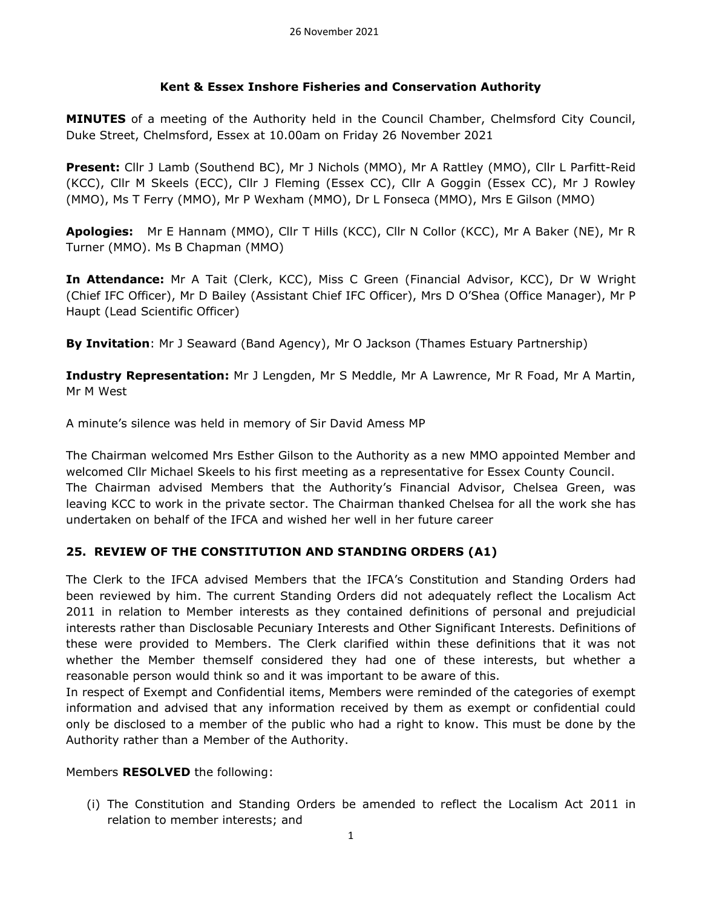### **Kent & Essex Inshore Fisheries and Conservation Authority**

**MINUTES** of a meeting of the Authority held in the Council Chamber, Chelmsford City Council, Duke Street, Chelmsford, Essex at 10.00am on Friday 26 November 2021

**Present:** Cllr J Lamb (Southend BC), Mr J Nichols (MMO), Mr A Rattley (MMO), Cllr L Parfitt-Reid (KCC), Cllr M Skeels (ECC), Cllr J Fleming (Essex CC), Cllr A Goggin (Essex CC), Mr J Rowley (MMO), Ms T Ferry (MMO), Mr P Wexham (MMO), Dr L Fonseca (MMO), Mrs E Gilson (MMO)

**Apologies:** Mr E Hannam (MMO), Cllr T Hills (KCC), Cllr N Collor (KCC), Mr A Baker (NE), Mr R Turner (MMO). Ms B Chapman (MMO)

**In Attendance:** Mr A Tait (Clerk, KCC), Miss C Green (Financial Advisor, KCC), Dr W Wright (Chief IFC Officer), Mr D Bailey (Assistant Chief IFC Officer), Mrs D O'Shea (Office Manager), Mr P Haupt (Lead Scientific Officer)

**By Invitation**: Mr J Seaward (Band Agency), Mr O Jackson (Thames Estuary Partnership)

**Industry Representation:** Mr J Lengden, Mr S Meddle, Mr A Lawrence, Mr R Foad, Mr A Martin, Mr M West

A minute's silence was held in memory of Sir David Amess MP

The Chairman welcomed Mrs Esther Gilson to the Authority as a new MMO appointed Member and welcomed Cllr Michael Skeels to his first meeting as a representative for Essex County Council. The Chairman advised Members that the Authority's Financial Advisor, Chelsea Green, was leaving KCC to work in the private sector. The Chairman thanked Chelsea for all the work she has undertaken on behalf of the IFCA and wished her well in her future career

# **25. REVIEW OF THE CONSTITUTION AND STANDING ORDERS (A1)**

The Clerk to the IFCA advised Members that the IFCA's Constitution and Standing Orders had been reviewed by him. The current Standing Orders did not adequately reflect the Localism Act 2011 in relation to Member interests as they contained definitions of personal and prejudicial interests rather than Disclosable Pecuniary Interests and Other Significant Interests. Definitions of these were provided to Members. The Clerk clarified within these definitions that it was not whether the Member themself considered they had one of these interests, but whether a reasonable person would think so and it was important to be aware of this.

In respect of Exempt and Confidential items, Members were reminded of the categories of exempt information and advised that any information received by them as exempt or confidential could only be disclosed to a member of the public who had a right to know. This must be done by the Authority rather than a Member of the Authority.

### Members **RESOLVED** the following:

(i) The Constitution and Standing Orders be amended to reflect the Localism Act 2011 in relation to member interests; and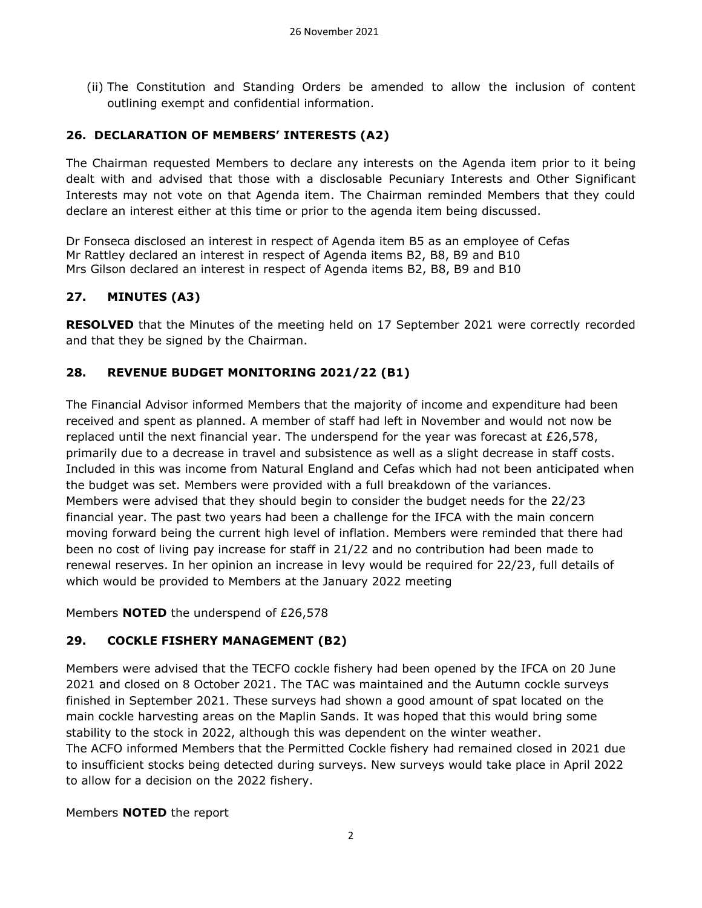(ii) The Constitution and Standing Orders be amended to allow the inclusion of content outlining exempt and confidential information.

### **26. DECLARATION OF MEMBERS' INTERESTS (A2)**

The Chairman requested Members to declare any interests on the Agenda item prior to it being dealt with and advised that those with a disclosable Pecuniary Interests and Other Significant Interests may not vote on that Agenda item. The Chairman reminded Members that they could declare an interest either at this time or prior to the agenda item being discussed.

Dr Fonseca disclosed an interest in respect of Agenda item B5 as an employee of Cefas Mr Rattley declared an interest in respect of Agenda items B2, B8, B9 and B10 Mrs Gilson declared an interest in respect of Agenda items B2, B8, B9 and B10

### **27. MINUTES (A3)**

**RESOLVED** that the Minutes of the meeting held on 17 September 2021 were correctly recorded and that they be signed by the Chairman.

# **28. REVENUE BUDGET MONITORING 2021/22 (B1)**

The Financial Advisor informed Members that the majority of income and expenditure had been received and spent as planned. A member of staff had left in November and would not now be replaced until the next financial year. The underspend for the year was forecast at £26,578, primarily due to a decrease in travel and subsistence as well as a slight decrease in staff costs. Included in this was income from Natural England and Cefas which had not been anticipated when the budget was set. Members were provided with a full breakdown of the variances. Members were advised that they should begin to consider the budget needs for the 22/23 financial year. The past two years had been a challenge for the IFCA with the main concern moving forward being the current high level of inflation. Members were reminded that there had been no cost of living pay increase for staff in 21/22 and no contribution had been made to renewal reserves. In her opinion an increase in levy would be required for 22/23, full details of which would be provided to Members at the January 2022 meeting

Members **NOTED** the underspend of £26,578

# **29. COCKLE FISHERY MANAGEMENT (B2)**

Members were advised that the TECFO cockle fishery had been opened by the IFCA on 20 June 2021 and closed on 8 October 2021. The TAC was maintained and the Autumn cockle surveys finished in September 2021. These surveys had shown a good amount of spat located on the main cockle harvesting areas on the Maplin Sands. It was hoped that this would bring some stability to the stock in 2022, although this was dependent on the winter weather. The ACFO informed Members that the Permitted Cockle fishery had remained closed in 2021 due to insufficient stocks being detected during surveys. New surveys would take place in April 2022

to allow for a decision on the 2022 fishery.

Members **NOTED** the report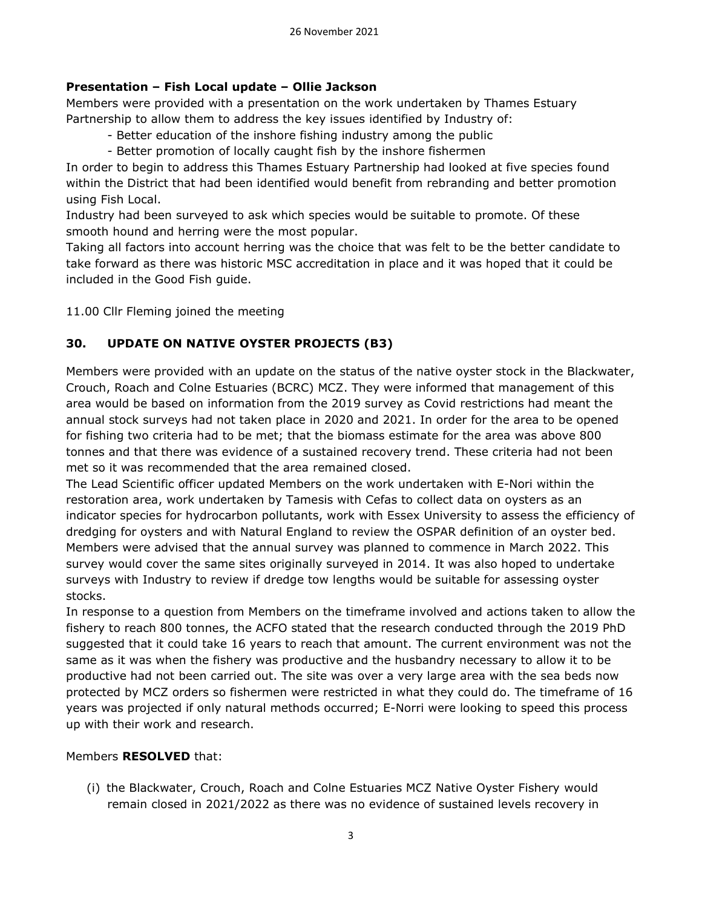# **Presentation – Fish Local update – Ollie Jackson**

Members were provided with a presentation on the work undertaken by Thames Estuary Partnership to allow them to address the key issues identified by Industry of:

- Better education of the inshore fishing industry among the public
- Better promotion of locally caught fish by the inshore fishermen

In order to begin to address this Thames Estuary Partnership had looked at five species found within the District that had been identified would benefit from rebranding and better promotion using Fish Local.

Industry had been surveyed to ask which species would be suitable to promote. Of these smooth hound and herring were the most popular.

Taking all factors into account herring was the choice that was felt to be the better candidate to take forward as there was historic MSC accreditation in place and it was hoped that it could be included in the Good Fish guide.

11.00 Cllr Fleming joined the meeting

# **30. UPDATE ON NATIVE OYSTER PROJECTS (B3)**

Members were provided with an update on the status of the native oyster stock in the Blackwater, Crouch, Roach and Colne Estuaries (BCRC) MCZ. They were informed that management of this area would be based on information from the 2019 survey as Covid restrictions had meant the annual stock surveys had not taken place in 2020 and 2021. In order for the area to be opened for fishing two criteria had to be met; that the biomass estimate for the area was above 800 tonnes and that there was evidence of a sustained recovery trend. These criteria had not been met so it was recommended that the area remained closed.

The Lead Scientific officer updated Members on the work undertaken with E-Nori within the restoration area, work undertaken by Tamesis with Cefas to collect data on oysters as an indicator species for hydrocarbon pollutants, work with Essex University to assess the efficiency of dredging for oysters and with Natural England to review the OSPAR definition of an oyster bed. Members were advised that the annual survey was planned to commence in March 2022. This survey would cover the same sites originally surveyed in 2014. It was also hoped to undertake surveys with Industry to review if dredge tow lengths would be suitable for assessing oyster stocks.

In response to a question from Members on the timeframe involved and actions taken to allow the fishery to reach 800 tonnes, the ACFO stated that the research conducted through the 2019 PhD suggested that it could take 16 years to reach that amount. The current environment was not the same as it was when the fishery was productive and the husbandry necessary to allow it to be productive had not been carried out. The site was over a very large area with the sea beds now protected by MCZ orders so fishermen were restricted in what they could do. The timeframe of 16 years was projected if only natural methods occurred; E-Norri were looking to speed this process up with their work and research.

### Members **RESOLVED** that:

(i) the Blackwater, Crouch, Roach and Colne Estuaries MCZ Native Oyster Fishery would remain closed in 2021/2022 as there was no evidence of sustained levels recovery in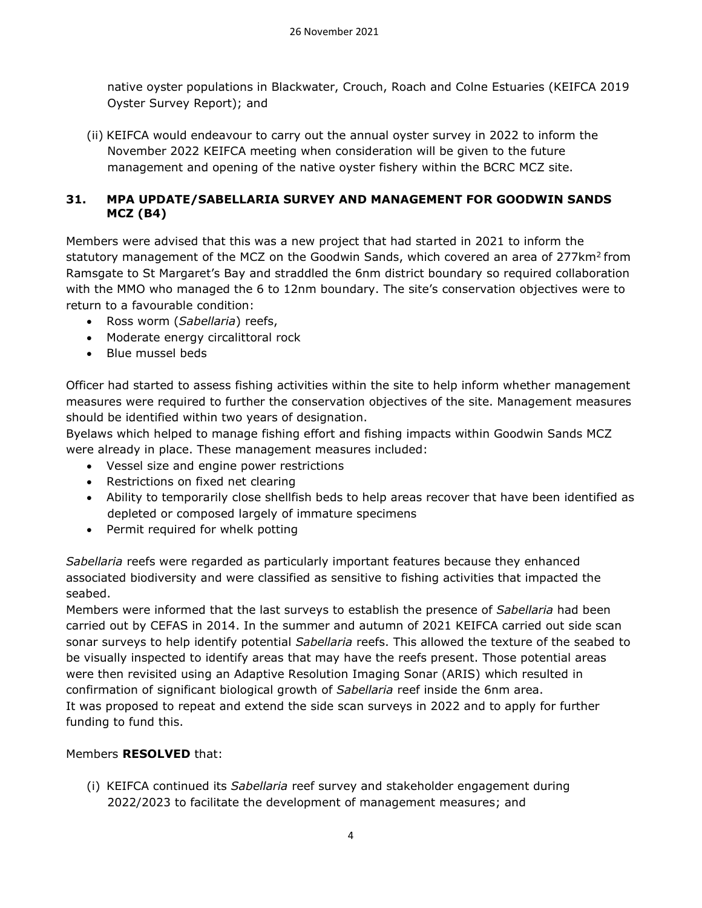native oyster populations in Blackwater, Crouch, Roach and Colne Estuaries (KEIFCA 2019 Oyster Survey Report); and

(ii) KEIFCA would endeavour to carry out the annual oyster survey in 2022 to inform the November 2022 KEIFCA meeting when consideration will be given to the future management and opening of the native oyster fishery within the BCRC MCZ site.

### **31. MPA UPDATE/SABELLARIA SURVEY AND MANAGEMENT FOR GOODWIN SANDS MCZ (B4)**

Members were advised that this was a new project that had started in 2021 to inform the statutory management of the MCZ on the Goodwin Sands, which covered an area of 277km<sup>2</sup> from Ramsgate to St Margaret's Bay and straddled the 6nm district boundary so required collaboration with the MMO who managed the 6 to 12nm boundary. The site's conservation objectives were to return to a favourable condition:

- Ross worm (*Sabellaria*) reefs,
- Moderate energy circalittoral rock
- Blue mussel beds

Officer had started to assess fishing activities within the site to help inform whether management measures were required to further the conservation objectives of the site. Management measures should be identified within two years of designation.

Byelaws which helped to manage fishing effort and fishing impacts within Goodwin Sands MCZ were already in place. These management measures included:

- Vessel size and engine power restrictions
- Restrictions on fixed net clearing
- Ability to temporarily close shellfish beds to help areas recover that have been identified as depleted or composed largely of immature specimens
- Permit required for whelk potting

*Sabellaria* reefs were regarded as particularly important features because they enhanced associated biodiversity and were classified as sensitive to fishing activities that impacted the seabed.

Members were informed that the last surveys to establish the presence of *Sabellaria* had been carried out by CEFAS in 2014. In the summer and autumn of 2021 KEIFCA carried out side scan sonar surveys to help identify potential *Sabellaria* reefs. This allowed the texture of the seabed to be visually inspected to identify areas that may have the reefs present. Those potential areas were then revisited using an Adaptive Resolution Imaging Sonar (ARIS) which resulted in confirmation of significant biological growth of *Sabellaria* reef inside the 6nm area. It was proposed to repeat and extend the side scan surveys in 2022 and to apply for further funding to fund this.

# Members **RESOLVED** that:

(i) KEIFCA continued its *Sabellaria* reef survey and stakeholder engagement during 2022/2023 to facilitate the development of management measures; and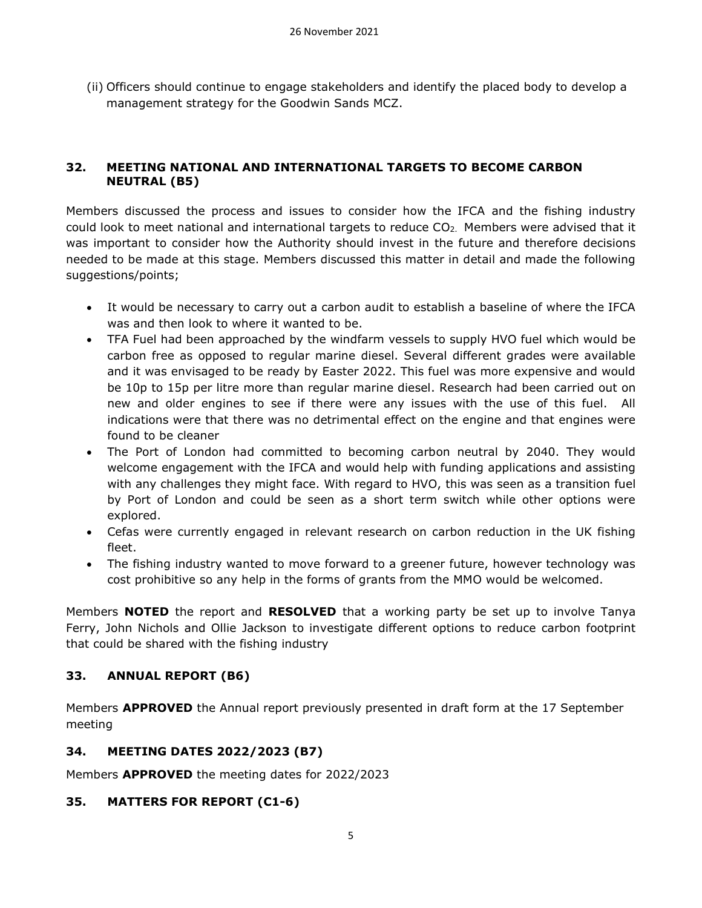(ii) Officers should continue to engage stakeholders and identify the placed body to develop a management strategy for the Goodwin Sands MCZ.

### **32. MEETING NATIONAL AND INTERNATIONAL TARGETS TO BECOME CARBON NEUTRAL (B5)**

Members discussed the process and issues to consider how the IFCA and the fishing industry could look to meet national and international targets to reduce CO<sub>2</sub>. Members were advised that it was important to consider how the Authority should invest in the future and therefore decisions needed to be made at this stage. Members discussed this matter in detail and made the following suggestions/points;

- It would be necessary to carry out a carbon audit to establish a baseline of where the IFCA was and then look to where it wanted to be.
- TFA Fuel had been approached by the windfarm vessels to supply HVO fuel which would be carbon free as opposed to regular marine diesel. Several different grades were available and it was envisaged to be ready by Easter 2022. This fuel was more expensive and would be 10p to 15p per litre more than regular marine diesel. Research had been carried out on new and older engines to see if there were any issues with the use of this fuel. All indications were that there was no detrimental effect on the engine and that engines were found to be cleaner
- The Port of London had committed to becoming carbon neutral by 2040. They would welcome engagement with the IFCA and would help with funding applications and assisting with any challenges they might face. With regard to HVO, this was seen as a transition fuel by Port of London and could be seen as a short term switch while other options were explored.
- Cefas were currently engaged in relevant research on carbon reduction in the UK fishing fleet.
- The fishing industry wanted to move forward to a greener future, however technology was cost prohibitive so any help in the forms of grants from the MMO would be welcomed.

Members **NOTED** the report and **RESOLVED** that a working party be set up to involve Tanya Ferry, John Nichols and Ollie Jackson to investigate different options to reduce carbon footprint that could be shared with the fishing industry

# **33. ANNUAL REPORT (B6)**

Members **APPROVED** the Annual report previously presented in draft form at the 17 September meeting

### **34. MEETING DATES 2022/2023 (B7)**

Members **APPROVED** the meeting dates for 2022/2023

### **35. MATTERS FOR REPORT (C1-6)**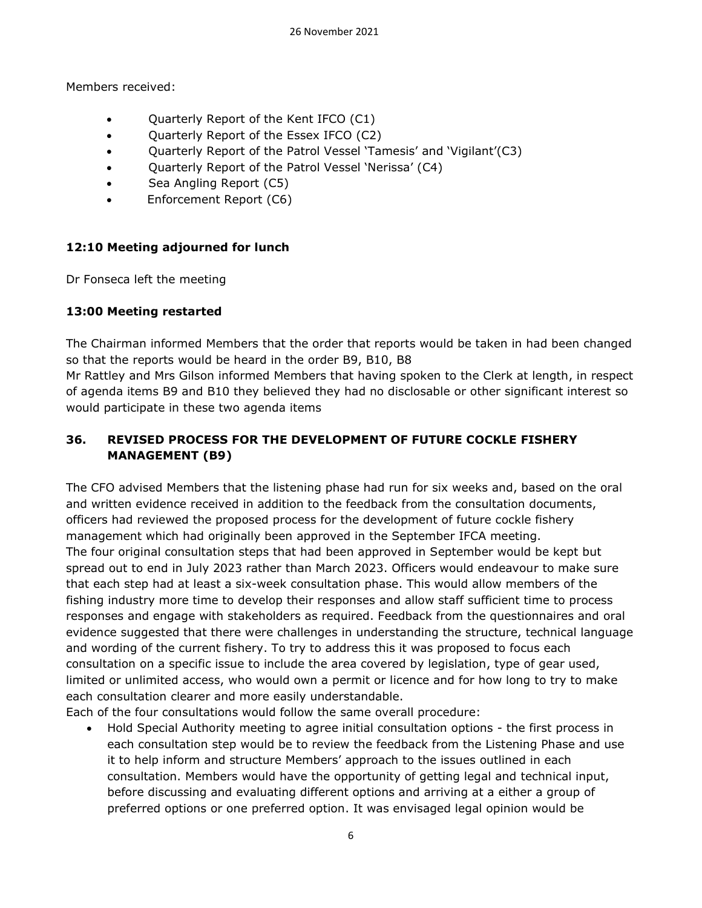Members received:

- Quarterly Report of the Kent IFCO (C1)
- Quarterly Report of the Essex IFCO (C2)
- Quarterly Report of the Patrol Vessel 'Tamesis' and 'Vigilant'(C3)
- Quarterly Report of the Patrol Vessel 'Nerissa' (C4)
- Sea Angling Report (C5)
- Enforcement Report (C6)

### **12:10 Meeting adjourned for lunch**

Dr Fonseca left the meeting

### **13:00 Meeting restarted**

The Chairman informed Members that the order that reports would be taken in had been changed so that the reports would be heard in the order B9, B10, B8

Mr Rattley and Mrs Gilson informed Members that having spoken to the Clerk at length, in respect of agenda items B9 and B10 they believed they had no disclosable or other significant interest so would participate in these two agenda items

# **36. REVISED PROCESS FOR THE DEVELOPMENT OF FUTURE COCKLE FISHERY MANAGEMENT (B9)**

The CFO advised Members that the listening phase had run for six weeks and, based on the oral and written evidence received in addition to the feedback from the consultation documents, officers had reviewed the proposed process for the development of future cockle fishery management which had originally been approved in the September IFCA meeting. The four original consultation steps that had been approved in September would be kept but spread out to end in July 2023 rather than March 2023. Officers would endeavour to make sure that each step had at least a six-week consultation phase. This would allow members of the fishing industry more time to develop their responses and allow staff sufficient time to process responses and engage with stakeholders as required. Feedback from the questionnaires and oral evidence suggested that there were challenges in understanding the structure, technical language and wording of the current fishery. To try to address this it was proposed to focus each consultation on a specific issue to include the area covered by legislation, type of gear used, limited or unlimited access, who would own a permit or licence and for how long to try to make each consultation clearer and more easily understandable.

Each of the four consultations would follow the same overall procedure:

• Hold Special Authority meeting to agree initial consultation options - the first process in each consultation step would be to review the feedback from the Listening Phase and use it to help inform and structure Members' approach to the issues outlined in each consultation. Members would have the opportunity of getting legal and technical input, before discussing and evaluating different options and arriving at a either a group of preferred options or one preferred option. It was envisaged legal opinion would be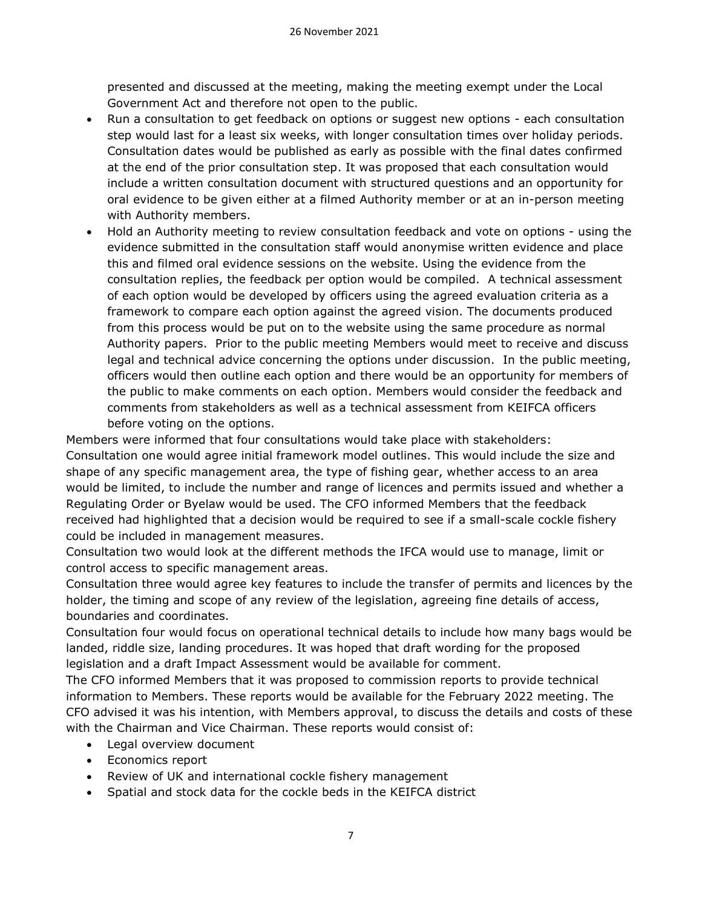presented and discussed at the meeting, making the meeting exempt under the Local Government Act and therefore not open to the public.

- Run a consultation to get feedback on options or suggest new options each consultation step would last for a least six weeks, with longer consultation times over holiday periods. Consultation dates would be published as early as possible with the final dates confirmed at the end of the prior consultation step. It was proposed that each consultation would include a written consultation document with structured questions and an opportunity for oral evidence to be given either at a filmed Authority member or at an in-person meeting with Authority members.
- Hold an Authority meeting to review consultation feedback and vote on options using the evidence submitted in the consultation staff would anonymise written evidence and place this and filmed oral evidence sessions on the website. Using the evidence from the consultation replies, the feedback per option would be compiled. A technical assessment of each option would be developed by officers using the agreed evaluation criteria as a framework to compare each option against the agreed vision. The documents produced from this process would be put on to the website using the same procedure as normal Authority papers. Prior to the public meeting Members would meet to receive and discuss legal and technical advice concerning the options under discussion. In the public meeting, officers would then outline each option and there would be an opportunity for members of the public to make comments on each option. Members would consider the feedback and comments from stakeholders as well as a technical assessment from KEIFCA officers before voting on the options.

Members were informed that four consultations would take place with stakeholders: Consultation one would agree initial framework model outlines. This would include the size and shape of any specific management area, the type of fishing gear, whether access to an area would be limited, to include the number and range of licences and permits issued and whether a Regulating Order or Byelaw would be used. The CFO informed Members that the feedback received had highlighted that a decision would be required to see if a small-scale cockle fishery could be included in management measures.

Consultation two would look at the different methods the IFCA would use to manage, limit or control access to specific management areas.

Consultation three would agree key features to include the transfer of permits and licences by the holder, the timing and scope of any review of the legislation, agreeing fine details of access, boundaries and coordinates.

Consultation four would focus on operational technical details to include how many bags would be landed, riddle size, landing procedures. It was hoped that draft wording for the proposed legislation and a draft Impact Assessment would be available for comment.

The CFO informed Members that it was proposed to commission reports to provide technical information to Members. These reports would be available for the February 2022 meeting. The CFO advised it was his intention, with Members approval, to discuss the details and costs of these with the Chairman and Vice Chairman. These reports would consist of:

- Legal overview document
- Economics report
- Review of UK and international cockle fishery management
- Spatial and stock data for the cockle beds in the KEIFCA district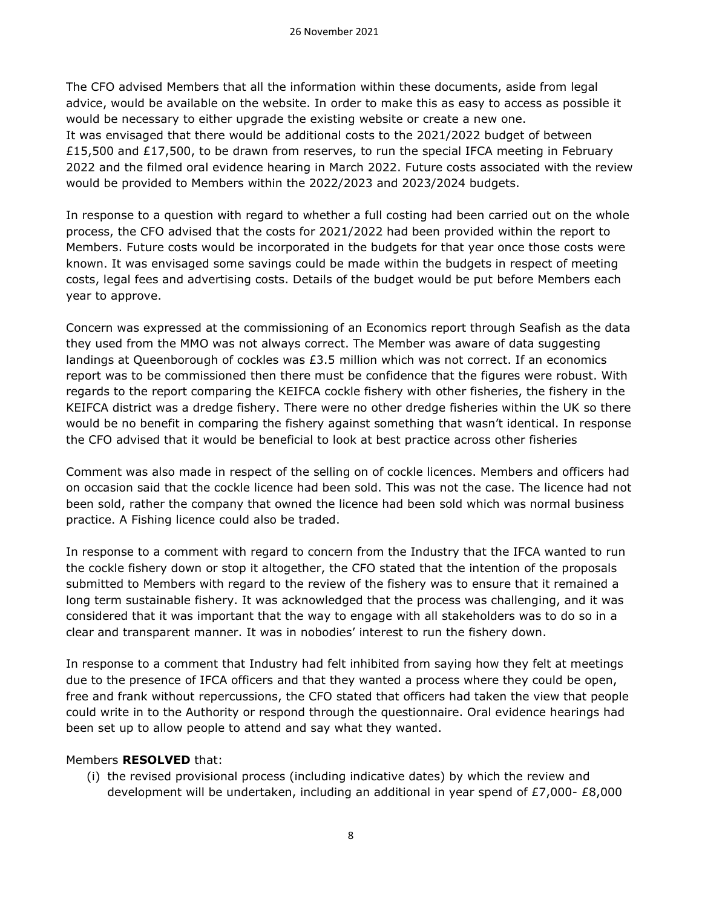The CFO advised Members that all the information within these documents, aside from legal advice, would be available on the website. In order to make this as easy to access as possible it would be necessary to either upgrade the existing website or create a new one. It was envisaged that there would be additional costs to the 2021/2022 budget of between £15,500 and £17,500, to be drawn from reserves, to run the special IFCA meeting in February 2022 and the filmed oral evidence hearing in March 2022. Future costs associated with the review would be provided to Members within the 2022/2023 and 2023/2024 budgets.

In response to a question with regard to whether a full costing had been carried out on the whole process, the CFO advised that the costs for 2021/2022 had been provided within the report to Members. Future costs would be incorporated in the budgets for that year once those costs were known. It was envisaged some savings could be made within the budgets in respect of meeting costs, legal fees and advertising costs. Details of the budget would be put before Members each year to approve.

Concern was expressed at the commissioning of an Economics report through Seafish as the data they used from the MMO was not always correct. The Member was aware of data suggesting landings at Queenborough of cockles was £3.5 million which was not correct. If an economics report was to be commissioned then there must be confidence that the figures were robust. With regards to the report comparing the KEIFCA cockle fishery with other fisheries, the fishery in the KEIFCA district was a dredge fishery. There were no other dredge fisheries within the UK so there would be no benefit in comparing the fishery against something that wasn't identical. In response the CFO advised that it would be beneficial to look at best practice across other fisheries

Comment was also made in respect of the selling on of cockle licences. Members and officers had on occasion said that the cockle licence had been sold. This was not the case. The licence had not been sold, rather the company that owned the licence had been sold which was normal business practice. A Fishing licence could also be traded.

In response to a comment with regard to concern from the Industry that the IFCA wanted to run the cockle fishery down or stop it altogether, the CFO stated that the intention of the proposals submitted to Members with regard to the review of the fishery was to ensure that it remained a long term sustainable fishery. It was acknowledged that the process was challenging, and it was considered that it was important that the way to engage with all stakeholders was to do so in a clear and transparent manner. It was in nobodies' interest to run the fishery down.

In response to a comment that Industry had felt inhibited from saying how they felt at meetings due to the presence of IFCA officers and that they wanted a process where they could be open, free and frank without repercussions, the CFO stated that officers had taken the view that people could write in to the Authority or respond through the questionnaire. Oral evidence hearings had been set up to allow people to attend and say what they wanted.

#### Members **RESOLVED** that:

(i) the revised provisional process (including indicative dates) by which the review and development will be undertaken, including an additional in year spend of  $E7,000$ - £8,000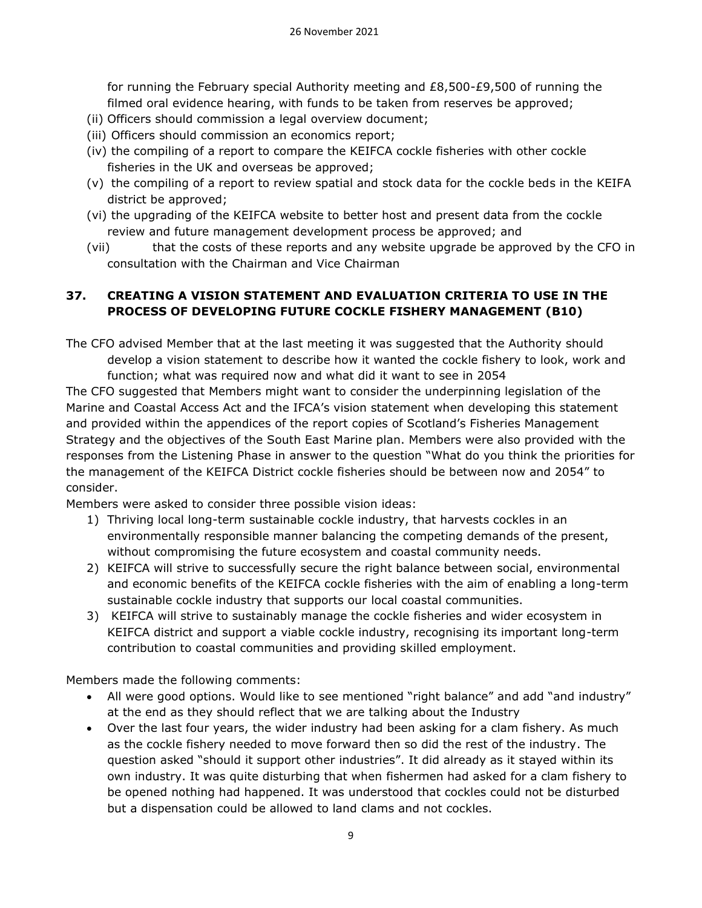for running the February special Authority meeting and  $E8,500-E9,500$  of running the filmed oral evidence hearing, with funds to be taken from reserves be approved;

- (ii) Officers should commission a legal overview document;
- (iii) Officers should commission an economics report;
- (iv) the compiling of a report to compare the KEIFCA cockle fisheries with other cockle fisheries in the UK and overseas be approved;
- (v) the compiling of a report to review spatial and stock data for the cockle beds in the KEIFA district be approved;
- (vi) the upgrading of the KEIFCA website to better host and present data from the cockle review and future management development process be approved; and
- (vii) that the costs of these reports and any website upgrade be approved by the CFO in consultation with the Chairman and Vice Chairman

### **37. CREATING A VISION STATEMENT AND EVALUATION CRITERIA TO USE IN THE PROCESS OF DEVELOPING FUTURE COCKLE FISHERY MANAGEMENT (B10)**

The CFO advised Member that at the last meeting it was suggested that the Authority should develop a vision statement to describe how it wanted the cockle fishery to look, work and function; what was required now and what did it want to see in 2054

The CFO suggested that Members might want to consider the underpinning legislation of the Marine and Coastal Access Act and the IFCA's vision statement when developing this statement and provided within the appendices of the report copies of Scotland's Fisheries Management Strategy and the objectives of the South East Marine plan. Members were also provided with the responses from the Listening Phase in answer to the question "What do you think the priorities for the management of the KEIFCA District cockle fisheries should be between now and 2054" to consider.

Members were asked to consider three possible vision ideas:

- 1) Thriving local long-term sustainable cockle industry, that harvests cockles in an environmentally responsible manner balancing the competing demands of the present, without compromising the future ecosystem and coastal community needs.
- 2) KEIFCA will strive to successfully secure the right balance between social, environmental and economic benefits of the KEIFCA cockle fisheries with the aim of enabling a long-term sustainable cockle industry that supports our local coastal communities.
- 3) KEIFCA will strive to sustainably manage the cockle fisheries and wider ecosystem in KEIFCA district and support a viable cockle industry, recognising its important long-term contribution to coastal communities and providing skilled employment.

Members made the following comments:

- All were good options. Would like to see mentioned "right balance" and add "and industry" at the end as they should reflect that we are talking about the Industry
- Over the last four years, the wider industry had been asking for a clam fishery. As much as the cockle fishery needed to move forward then so did the rest of the industry. The question asked "should it support other industries". It did already as it stayed within its own industry. It was quite disturbing that when fishermen had asked for a clam fishery to be opened nothing had happened. It was understood that cockles could not be disturbed but a dispensation could be allowed to land clams and not cockles.